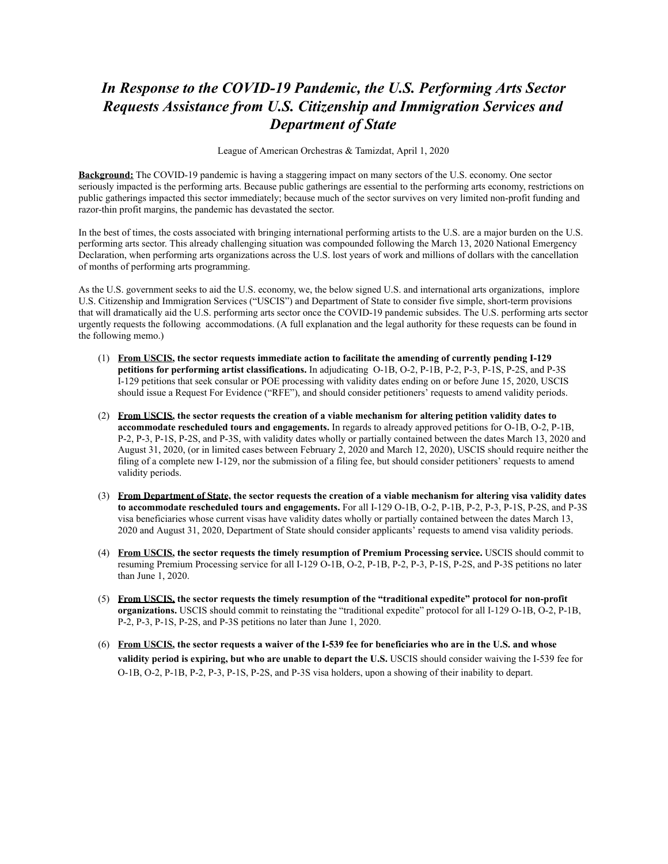## *In Response to the COVID-19 Pandemic, the U.S. Performing Arts Sector Requests Assistance from U.S. Citizenship and Immigration Services and Department of State*

League of American Orchestras & Tamizdat, April 1, 2020

**Background:** The COVID-19 pandemic is having a staggering impact on many sectors of the U.S. economy. One sector seriously impacted is the performing arts. Because public gatherings are essential to the performing arts economy, restrictions on public gatherings impacted this sector immediately; because much of the sector survives on very limited non-profit funding and razor-thin profit margins, the pandemic has devastated the sector.

In the best of times, the costs associated with bringing international performing artists to the U.S. are a major burden on the U.S. performing arts sector. This already challenging situation was compounded following the March 13, 2020 National Emergency Declaration, when performing arts organizations across the U.S. lost years of work and millions of dollars with the cancellation of months of performing arts programming.

As the U.S. government seeks to aid the U.S. economy, we, the below signed U.S. and international arts organizations, implore U.S. Citizenship and Immigration Services ("USCIS") and Department of State to consider five simple, short-term provisions that will dramatically aid the U.S. performing arts sector once the COVID-19 pandemic subsides. The U.S. performing arts sector urgently requests the following accommodations. (A full explanation and the legal authority for these requests can be found in the following memo.)

- (1) **From USCIS , the sector requests immediate action to facilitate the amending of currently pending I-129 petitions for performing artist classifications.** In adjudicating O-1B, O-2, P-1B, P-2, P-3, P-1S, P-2S, and P-3S I-129 petitions that seek consular or POE processing with validity dates ending on or before June 15, 2020, USCIS should issue a Request For Evidence ("RFE"), and should consider petitioners' requests to amend validity periods.
- (2) **From USCIS , the sector requests the creation of a viable mechanism for altering petition validity dates to accommodate rescheduled tours and engagements.** In regards to already approved petitions for O-1B, O-2, P-1B, P-2, P-3, P-1S, P-2S, and P-3S, with validity dates wholly or partially contained between the dates March 13, 2020 and August 31, 2020, (or in limited cases between February 2, 2020 and March 12, 2020), USCIS should require neither the filing of a complete new I-129, nor the submission of a filing fee, but should consider petitioners' requests to amend validity periods.
- (3) **From Department of State , the sector requests the creation of a viable mechanism for altering visa validity dates to accommodate rescheduled tours and engagements.** For all I-129 O-1B, O-2, P-1B, P-2, P-3, P-1S, P-2S, and P-3S visa beneficiaries whose current visas have validity dates wholly or partially contained between the dates March 13, 2020 and August 31, 2020, Department of State should consider applicants' requests to amend visa validity periods.
- (4) **From USCIS , the sector requests the timely resumption of Premium Processing service.** USCIS should commit to resuming Premium Processing service for all I-129 O-1B, O-2, P-1B, P-2, P-3, P-1S, P-2S, and P-3S petitions no later than June 1, 2020.
- (5) **From USCIS, the sector requests the timely resumption of the "traditional expedite" protocol for non-profit organizations.** USCIS should commit to reinstating the "traditional expedite" protocol for all I-129 O-1B, O-2, P-1B, P-2, P-3, P-1S, P-2S, and P-3S petitions no later than June 1, 2020.
- (6) **From USCIS , the sector requests a waiver of the I-539 fee for beneficiaries who are in the U.S. and whose**  validity period is expiring, but who are unable to depart the U.S. USCIS should consider waiving the I-539 fee for O-1B, O-2, P-1B, P-2, P-3, P-1S, P-2S, and P-3S visa holders, upon a showing of their inability to depart.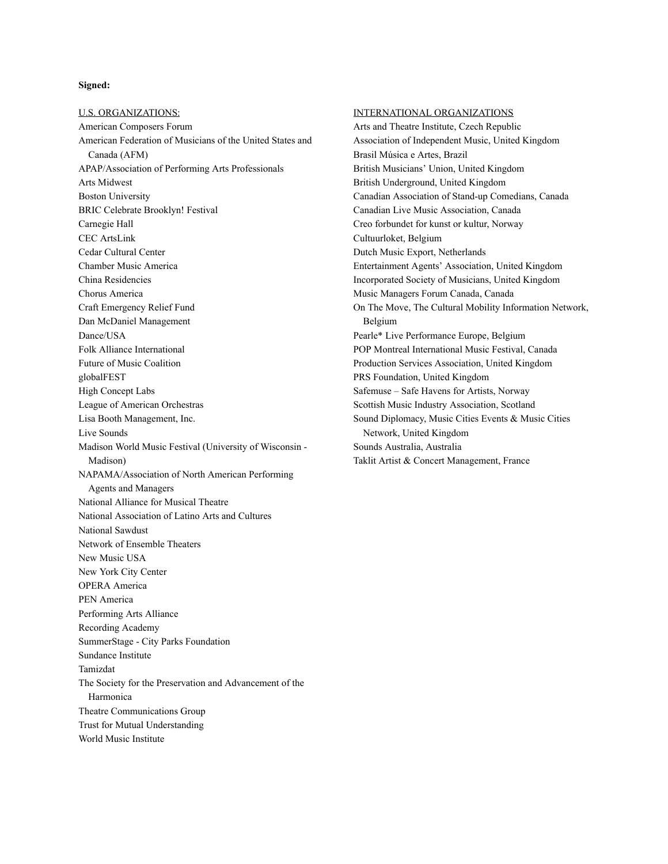#### **Signed:**

U.S. ORGANIZATIONS: American Composers Forum American Federation of Musicians of the United States and Canada (AFM) APAP/Association of Performing Arts Professionals Arts Midwest Boston University BRIC Celebrate Brooklyn! Festival Carnegie Hall CEC ArtsLink Cedar Cultural Center Chamber Music America China Residencies Chorus America Craft Emergency Relief Fund Dan McDaniel Management Dance/USA Folk Alliance International Future of Music Coalition globalFEST High Concept Labs League of American Orchestras Lisa Booth Management, Inc. Live Sounds Madison World Music Festival (University of Wisconsin - Madison) NAPAMA/Association of North American Performing Agents and Managers National Alliance for Musical Theatre National Association of Latino Arts and Cultures National Sawdust Network of Ensemble Theaters New Music USA New York City Center OPERA America PEN America Performing Arts Alliance Recording Academy SummerStage - City Parks Foundation Sundance Institute Tamizdat The Society for the Preservation and Advancement of the Harmonica Theatre Communications Group Trust for Mutual Understanding World Music Institute

#### INTERNATIONAL ORGANIZATIONS

Arts and Theatre Institute, Czech Republic Association of Independent Music, United Kingdom Brasil Música e Artes, Brazil British Musicians' Union, United Kingdom British Underground, United Kingdom Canadian Association of Stand-up Comedians, Canada Canadian Live Music Association, Canada Creo forbundet for kunst or kultur, Norway Cultuurloket, Belgium Dutch Music Export, Netherlands Entertainment Agents' Association, United Kingdom Incorporated Society of Musicians, United Kingdom Music Managers Forum Canada, Canada On The Move, The Cultural Mobility Information Network, Belgium Pearle\* Live Performance Europe, Belgium POP Montreal International Music Festival, Canada Production Services Association, United Kingdom PRS Foundation, United Kingdom Safemuse – Safe Havens for Artists, Norway Scottish Music Industry Association, Scotland Sound Diplomacy, Music Cities Events & Music Cities Network, United Kingdom Sounds Australia, Australia Taklit Artist & Concert Management, France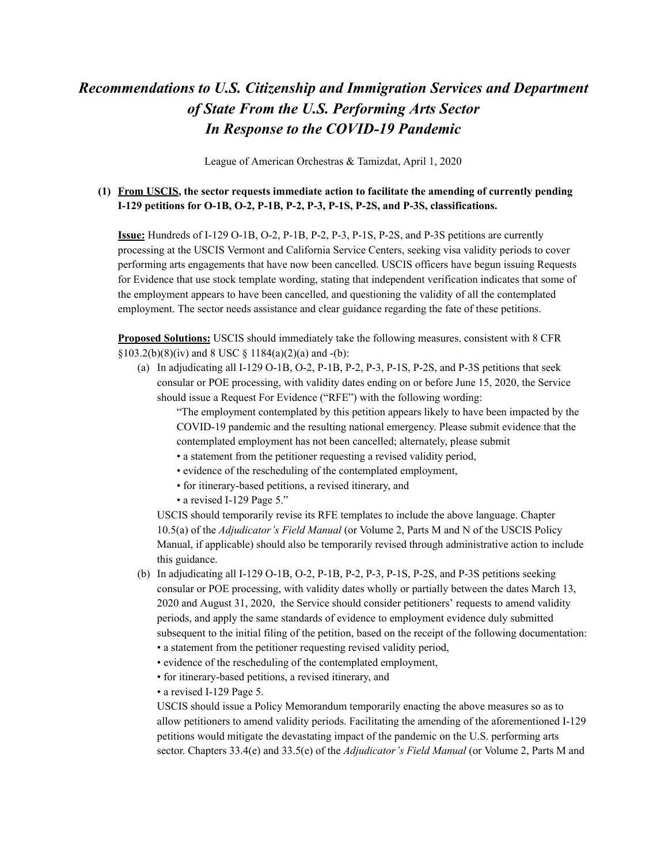# *Recommendations to U.S. Citizenship and Immigration Services and Department of State From the U.S. Performing Arts Sector In Response to the COVID-19 Pandemic*

League of American Orchestras & Tamizdat, April 1, 2020

## **(1) From USCIS, the sector requests immediate action to facilitate the amending of currently pending I-129 petitions for O-1B, O-2, P-1B, P-2, P-3, P-1S, P-2S, and P-3S, classifications.**

**Issue:** Hundreds of I-129 O-1B, O-2, P-1B, P-2, P-3, P-1S, P-2S, and P-3S petitions are currently processing at the USCIS Vermont and California Service Centers, seeking visa validity periods to cover performing arts engagements that have now been cancelled. USCIS officers have begun issuing Requests for Evidence that use stock template wording, stating that independent verification indicates that some of the employment appears to have been cancelled, and questioning the validity of all the contemplated employment. The sector needs assistance and clear guidance regarding the fate of these petitions.

**Proposed Solutions:** USCIS should immediately take the following measures, consistent with 8 CFR  $§103.2(b)(8)(iv)$  and 8 USC § 1184(a)(2)(a) and -(b):

(a) In adjudicating all I-129 O-1B, O-2, P-1B, P-2, P-3, P-1S, P-2S, and P-3S petitions that seek consular or POE processing, with validity dates ending on or before June 15, 2020, the Service should issue a Request For Evidence ("RFE") with the following wording:

"The employment contemplated by this petition appears likely to have been impacted by the COVID-19 pandemic and the resulting national emergency. Please submit evidence that the contemplated employment has not been cancelled; alternately, please submit

- a statement from the petitioner requesting a revised validity period,
- evidence of the rescheduling of the contemplated employment,
- for itinerary-based petitions, a revised itinerary, and
- a revised I-129 Page 5."

USCIS should temporarily revise its RFE templates to include the above language. Chapter 10.5(a) of the *Adjudicator's Field Manual* (or Volume 2, Parts M and N of the USCIS Policy Manual, if applicable) should also be temporarily revised through administrative action to include this guidance.

- (b) In adjudicating all I-129 O-1B, O-2, P-1B, P-2, P-3, P-1S, P-2S, and P-3S petitions seeking consular or POE processing, with validity dates wholly or partially between the dates March 13, 2020 and August 31, 2020, the Service should consider petitioners' requests to amend validity periods, and apply the same standards of evidence to employment evidence duly submitted subsequent to the initial filing of the petition, based on the receipt of the following documentation: • a statement from the petitioner requesting revised validity period,
	- evidence of the rescheduling of the contemplated employment,
	-
	- for itinerary-based petitions, a revised itinerary, and
	- a revised I-129 Page 5.

USCIS should issue a Policy Memorandum temporarily enacting the above measures so as to allow petitioners to amend validity periods. Facilitating the amending of the aforementioned I-129 petitions would mitigate the devastating impact of the pandemic on the U.S. performing arts sector. Chapters 33.4(e) and 33.5(e) of the *Adjudicator's Field Manual* (or Volume 2, Parts M and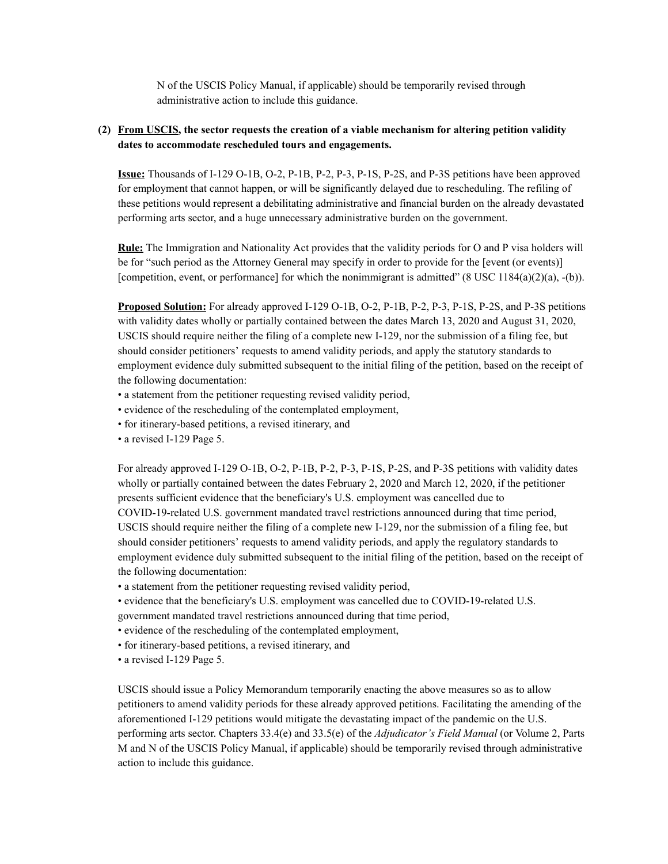N of the USCIS Policy Manual, if applicable) should be temporarily revised through administrative action to include this guidance.

#### **(2) From USCIS, the sector requests the creation of a viable mechanism for altering petition validity dates to accommodate rescheduled tours and engagements.**

**Issue:** Thousands of I-129 O-1B, O-2, P-1B, P-2, P-3, P-1S, P-2S, and P-3S petitions have been approved for employment that cannot happen, or will be significantly delayed due to rescheduling. The refiling of these petitions would represent a debilitating administrative and financial burden on the already devastated performing arts sector, and a huge unnecessary administrative burden on the government.

**Rule:** The Immigration and Nationality Act provides that the validity periods for O and P visa holders will be for "such period as the Attorney General may specify in order to provide for the [event (or events)] [competition, event, or performance] for which the nonimmigrant is admitted"  $(8 \text{ USC } 1184(a)(2)(a), -b)$ ).

**Proposed Solution:** For already approved I-129 O-1B, O-2, P-1B, P-2, P-3, P-1S, P-2S, and P-3S petitions with validity dates wholly or partially contained between the dates March 13, 2020 and August 31, 2020, USCIS should require neither the filing of a complete new I-129, nor the submission of a filing fee, but should consider petitioners' requests to amend validity periods, and apply the statutory standards to employment evidence duly submitted subsequent to the initial filing of the petition, based on the receipt of the following documentation:

- a statement from the petitioner requesting revised validity period,
- evidence of the rescheduling of the contemplated employment,
- for itinerary-based petitions, a revised itinerary, and
- a revised I-129 Page 5.

For already approved I-129 O-1B, O-2, P-1B, P-2, P-3, P-1S, P-2S, and P-3S petitions with validity dates wholly or partially contained between the dates February 2, 2020 and March 12, 2020, if the petitioner presents sufficient evidence that the beneficiary's U.S. employment was cancelled due to COVID-19-related U.S. government mandated travel restrictions announced during that time period, USCIS should require neither the filing of a complete new I-129, nor the submission of a filing fee, but should consider petitioners' requests to amend validity periods, and apply the regulatory standards to employment evidence duly submitted subsequent to the initial filing of the petition, based on the receipt of the following documentation:

- a statement from the petitioner requesting revised validity period,
- evidence that the beneficiary's U.S. employment was cancelled due to COVID-19-related U.S. government mandated travel restrictions announced during that time period,
- evidence of the rescheduling of the contemplated employment,
- for itinerary-based petitions, a revised itinerary, and
- a revised I-129 Page 5.

USCIS should issue a Policy Memorandum temporarily enacting the above measures so as to allow petitioners to amend validity periods for these already approved petitions. Facilitating the amending of the aforementioned I-129 petitions would mitigate the devastating impact of the pandemic on the U.S. performing arts sector. Chapters 33.4(e) and 33.5(e) of the *Adjudicator's Field Manual* (or Volume 2, Parts M and N of the USCIS Policy Manual, if applicable) should be temporarily revised through administrative action to include this guidance.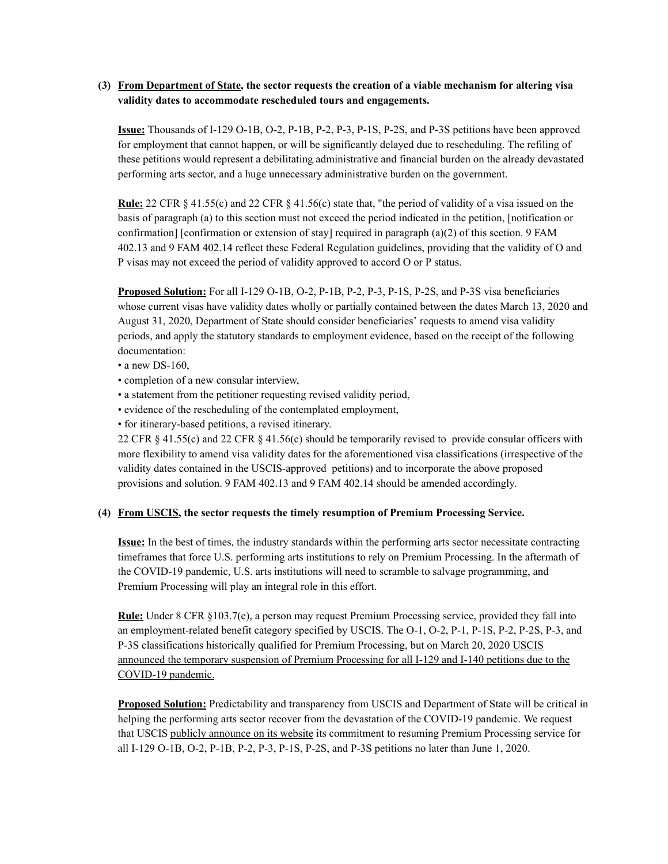### **(3) From Department of State, the sector requests the creation of a viable mechanism for altering visa validity dates to accommodate rescheduled tours and engagements.**

**Issue:** Thousands of I-129 O-1B, O-2, P-1B, P-2, P-3, P-1S, P-2S, and P-3S petitions have been approved for employment that cannot happen, or will be significantly delayed due to rescheduling. The refiling of these petitions would represent a debilitating administrative and financial burden on the already devastated performing arts sector, and a huge unnecessary administrative burden on the government.

**Rule:** 22 CFR § 41.55(c) and 22 CFR § 41.56(c) state that, "the period of validity of a visa issued on the basis of paragraph (a) to this section must not exceed the period indicated in the petition, [notification or confirmation] [confirmation or extension of stay] required in paragraph  $(a)(2)$  of this section. 9 FAM 402.13 and 9 FAM 402.14 reflect these Federal Regulation guidelines, providing that the validity of O and P visas may not exceed the period of validity approved to accord O or P status.

**Proposed Solution:** For all I-129 O-1B, O-2, P-1B, P-2, P-3, P-1S, P-2S, and P-3S visa beneficiaries whose current visas have validity dates wholly or partially contained between the dates March 13, 2020 and August 31, 2020, Department of State should consider beneficiaries' requests to amend visa validity periods, and apply the statutory standards to employment evidence, based on the receipt of the following documentation:

- a new DS-160,
- completion of a new consular interview,
- a statement from the petitioner requesting revised validity period,
- evidence of the rescheduling of the contemplated employment,
- for itinerary-based petitions, a revised itinerary.

22 CFR § 41.55(c) and 22 CFR § 41.56(c) should be temporarily revised to provide consular officers with more flexibility to amend visa validity dates for the aforementioned visa classifications (irrespective of the validity dates contained in the USCIS-approved petitions) and to incorporate the above proposed provisions and solution. 9 FAM 402.13 and 9 FAM 402.14 should be amended accordingly.

#### **(4) From USCIS, the sector requests the timely resumption of Premium Processing Service.**

**Issue:** In the best of times, the industry standards within the performing arts sector necessitate contracting timeframes that force U.S. performing arts institutions to rely on Premium Processing. In the aftermath of the COVID-19 pandemic, U.S. arts institutions will need to scramble to salvage programming, and Premium Processing will play an integral role in this effort.

**Rule:** Under 8 CFR §103.7(e), a person may request Premium Processing service, provided they fall into an employment-related benefit category specified by USCIS. The O-1, O-2, P-1, P-1S, P-2, P-2S, P-3, and P-3S classifications historically qualified for Premium Processing, but on March 20, 2020 [USCIS](https://www.uscis.gov/working-united-states/temporary-workers/uscis-announces-temporary-suspension-premium-processing-all-i-129-and-i-140-petitions-due-coronavirus-pandemic) announced the temporary [suspension](https://www.uscis.gov/working-united-states/temporary-workers/uscis-announces-temporary-suspension-premium-processing-all-i-129-and-i-140-petitions-due-coronavirus-pandemic) of Premium Processing for all I-129 and I-140 petitions due to the [COVID-19](https://www.uscis.gov/working-united-states/temporary-workers/uscis-announces-temporary-suspension-premium-processing-all-i-129-and-i-140-petitions-due-coronavirus-pandemic) pandemic.

**Proposed Solution:** Predictability and transparency from USCIS and Department of State will be critical in helping the performing arts sector recover from the devastation of the COVID-19 pandemic. We request that USCIS publicly [announce](https://www.uscis.gov/working-united-states/temporary-workers/uscis-announces-temporary-suspension-premium-processing-all-i-129-and-i-140-petitions-due-coronavirus-pandemic) on its website its commitment to resuming Premium Processing service for all I-129 O-1B, O-2, P-1B, P-2, P-3, P-1S, P-2S, and P-3S petitions no later than June 1, 2020.